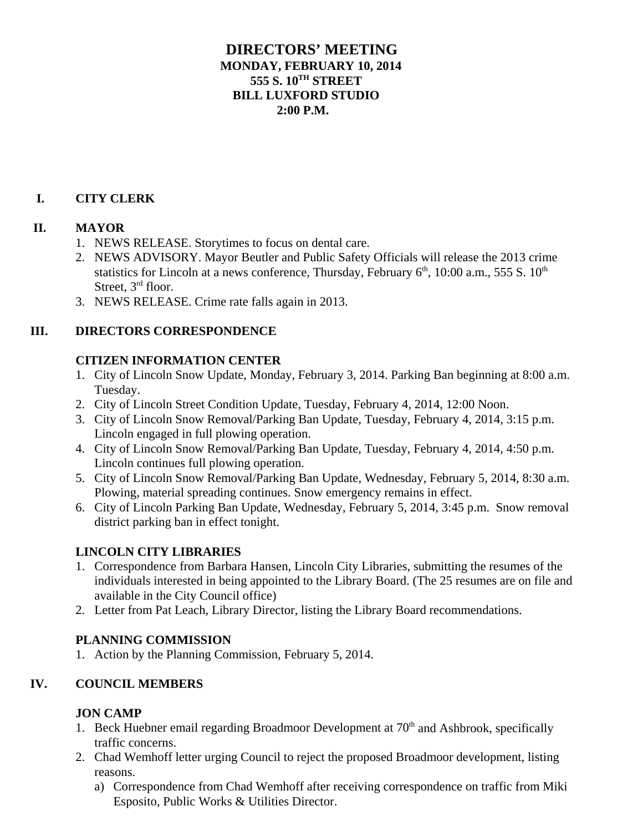## **DIRECTORS' MEETING MONDAY, FEBRUARY 10, 2014 555 S. 10TH STREET BILL LUXFORD STUDIO 2:00 P.M.**

# **I. CITY CLERK**

## **II. MAYOR**

- 1. NEWS RELEASE. Storytimes to focus on dental care.
- 2. NEWS ADVISORY. Mayor Beutler and Public Safety Officials will release the 2013 crime statistics for Lincoln at a news conference, Thursday, February  $6<sup>th</sup>$ , 10:00 a.m., 555 S.  $10<sup>th</sup>$ Street, 3<sup>rd</sup> floor.
- 3. NEWS RELEASE. Crime rate falls again in 2013.

## **III. DIRECTORS CORRESPONDENCE**

## **CITIZEN INFORMATION CENTER**

- 1. City of Lincoln Snow Update, Monday, February 3, 2014. Parking Ban beginning at 8:00 a.m. Tuesday.
- 2. City of Lincoln Street Condition Update, Tuesday, February 4, 2014, 12:00 Noon.
- 3. City of Lincoln Snow Removal/Parking Ban Update, Tuesday, February 4, 2014, 3:15 p.m. Lincoln engaged in full plowing operation.
- 4. City of Lincoln Snow Removal/Parking Ban Update, Tuesday, February 4, 2014, 4:50 p.m. Lincoln continues full plowing operation.
- 5. City of Lincoln Snow Removal/Parking Ban Update, Wednesday, February 5, 2014, 8:30 a.m. Plowing, material spreading continues. Snow emergency remains in effect.
- 6. City of Lincoln Parking Ban Update, Wednesday, February 5, 2014, 3:45 p.m. Snow removal district parking ban in effect tonight.

## **LINCOLN CITY LIBRARIES**

- 1. Correspondence from Barbara Hansen, Lincoln City Libraries, submitting the resumes of the individuals interested in being appointed to the Library Board. (The 25 resumes are on file and available in the City Council office)
- 2. Letter from Pat Leach, Library Director, listing the Library Board recommendations.

## **PLANNING COMMISSION**

1. Action by the Planning Commission, February 5, 2014.

## **IV. COUNCIL MEMBERS**

#### **JON CAMP**

- 1. Beck Huebner email regarding Broadmoor Development at  $70<sup>th</sup>$  and Ashbrook, specifically traffic concerns.
- 2. Chad Wemhoff letter urging Council to reject the proposed Broadmoor development, listing reasons.
	- a) Correspondence from Chad Wemhoff after receiving correspondence on traffic from Miki Esposito, Public Works & Utilities Director.